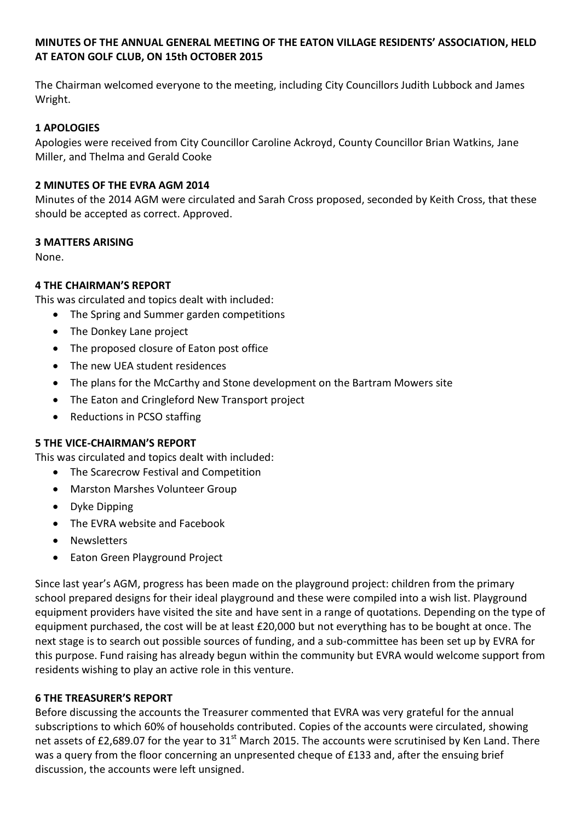# **MINUTES OF THE ANNUAL GENERAL MEETING OF THE EATON VILLAGE RESIDENTS' ASSOCIATION, HELD AT EATON GOLF CLUB, ON 15th OCTOBER 2015**

The Chairman welcomed everyone to the meeting, including City Councillors Judith Lubbock and James Wright.

# **1 APOLOGIES**

Apologies were received from City Councillor Caroline Ackroyd, County Councillor Brian Watkins, Jane Miller, and Thelma and Gerald Cooke

## **2 MINUTES OF THE EVRA AGM 2014**

Minutes of the 2014 AGM were circulated and Sarah Cross proposed, seconded by Keith Cross, that these should be accepted as correct. Approved.

#### **3 MATTERS ARISING**

None.

## **4 THE CHAIRMAN'S REPORT**

This was circulated and topics dealt with included:

- The Spring and Summer garden competitions
- The Donkey Lane project
- The proposed closure of Eaton post office
- The new UEA student residences
- The plans for the McCarthy and Stone development on the Bartram Mowers site
- The Eaton and Cringleford New Transport project
- Reductions in PCSO staffing

#### **5 THE VICE-CHAIRMAN'S REPORT**

This was circulated and topics dealt with included:

- The Scarecrow Festival and Competition
- Marston Marshes Volunteer Group
- Dyke Dipping
- The EVRA website and Facebook
- Newsletters
- Eaton Green Playground Project

Since last year's AGM, progress has been made on the playground project: children from the primary school prepared designs for their ideal playground and these were compiled into a wish list. Playground equipment providers have visited the site and have sent in a range of quotations. Depending on the type of equipment purchased, the cost will be at least £20,000 but not everything has to be bought at once. The next stage is to search out possible sources of funding, and a sub-committee has been set up by EVRA for this purpose. Fund raising has already begun within the community but EVRA would welcome support from residents wishing to play an active role in this venture.

#### **6 THE TREASURER'S REPORT**

Before discussing the accounts the Treasurer commented that EVRA was very grateful for the annual subscriptions to which 60% of households contributed. Copies of the accounts were circulated, showing net assets of £2,689.07 for the year to  $31<sup>st</sup>$  March 2015. The accounts were scrutinised by Ken Land. There was a query from the floor concerning an unpresented cheque of £133 and, after the ensuing brief discussion, the accounts were left unsigned.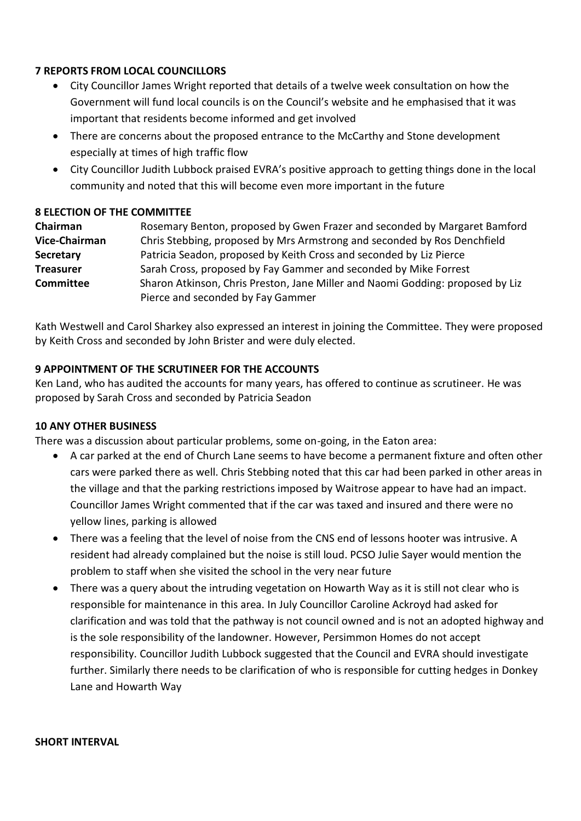## **7 REPORTS FROM LOCAL COUNCILLORS**

- City Councillor James Wright reported that details of a twelve week consultation on how the Government will fund local councils is on the Council's website and he emphasised that it was important that residents become informed and get involved
- There are concerns about the proposed entrance to the McCarthy and Stone development especially at times of high traffic flow
- City Councillor Judith Lubbock praised EVRA's positive approach to getting things done in the local community and noted that this will become even more important in the future

# **8 ELECTION OF THE COMMITTEE**

| Chairman         | Rosemary Benton, proposed by Gwen Frazer and seconded by Margaret Bamford      |
|------------------|--------------------------------------------------------------------------------|
| Vice-Chairman    | Chris Stebbing, proposed by Mrs Armstrong and seconded by Ros Denchfield       |
| <b>Secretary</b> | Patricia Seadon, proposed by Keith Cross and seconded by Liz Pierce            |
| <b>Treasurer</b> | Sarah Cross, proposed by Fay Gammer and seconded by Mike Forrest               |
| <b>Committee</b> | Sharon Atkinson, Chris Preston, Jane Miller and Naomi Godding: proposed by Liz |
|                  | Pierce and seconded by Fay Gammer                                              |

Kath Westwell and Carol Sharkey also expressed an interest in joining the Committee. They were proposed by Keith Cross and seconded by John Brister and were duly elected.

# **9 APPOINTMENT OF THE SCRUTINEER FOR THE ACCOUNTS**

Ken Land, who has audited the accounts for many years, has offered to continue as scrutineer. He was proposed by Sarah Cross and seconded by Patricia Seadon

## **10 ANY OTHER BUSINESS**

There was a discussion about particular problems, some on-going, in the Eaton area:

- A car parked at the end of Church Lane seems to have become a permanent fixture and often other cars were parked there as well. Chris Stebbing noted that this car had been parked in other areas in the village and that the parking restrictions imposed by Waitrose appear to have had an impact. Councillor James Wright commented that if the car was taxed and insured and there were no yellow lines, parking is allowed
- There was a feeling that the level of noise from the CNS end of lessons hooter was intrusive. A resident had already complained but the noise is still loud. PCSO Julie Sayer would mention the problem to staff when she visited the school in the very near future
- There was a query about the intruding vegetation on Howarth Way as it is still not clear who is responsible for maintenance in this area. In July Councillor Caroline Ackroyd had asked for clarification and was told that the pathway is not council owned and is not an adopted highway and is the sole responsibility of the landowner. However, Persimmon Homes do not accept responsibility. Councillor Judith Lubbock suggested that the Council and EVRA should investigate further. Similarly there needs to be clarification of who is responsible for cutting hedges in Donkey Lane and Howarth Way

#### **SHORT INTERVAL**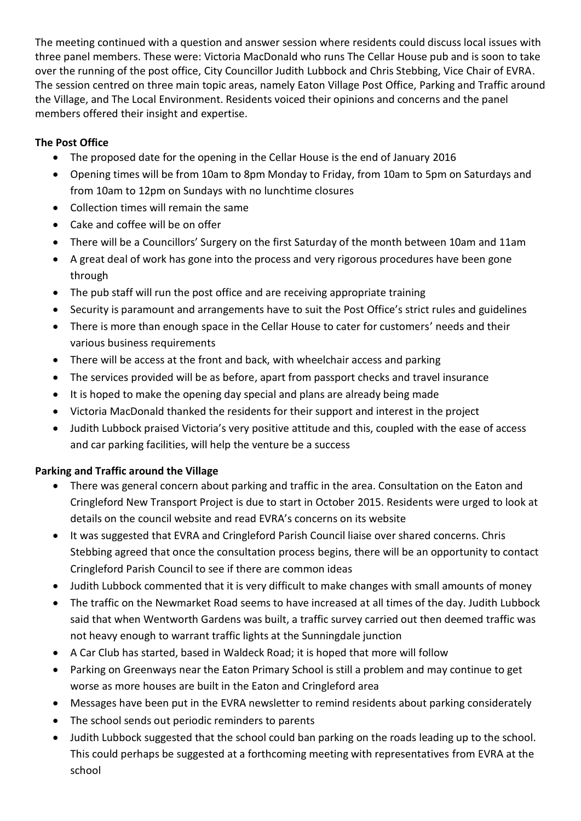The meeting continued with a question and answer session where residents could discuss local issues with three panel members. These were: Victoria MacDonald who runs The Cellar House pub and is soon to take over the running of the post office, City Councillor Judith Lubbock and Chris Stebbing, Vice Chair of EVRA. The session centred on three main topic areas, namely Eaton Village Post Office, Parking and Traffic around the Village, and The Local Environment. Residents voiced their opinions and concerns and the panel members offered their insight and expertise.

# **The Post Office**

- The proposed date for the opening in the Cellar House is the end of January 2016
- Opening times will be from 10am to 8pm Monday to Friday, from 10am to 5pm on Saturdays and from 10am to 12pm on Sundays with no lunchtime closures
- Collection times will remain the same
- Cake and coffee will be on offer
- There will be a Councillors' Surgery on the first Saturday of the month between 10am and 11am
- A great deal of work has gone into the process and very rigorous procedures have been gone through
- The pub staff will run the post office and are receiving appropriate training
- Security is paramount and arrangements have to suit the Post Office's strict rules and guidelines
- There is more than enough space in the Cellar House to cater for customers' needs and their various business requirements
- There will be access at the front and back, with wheelchair access and parking
- The services provided will be as before, apart from passport checks and travel insurance
- It is hoped to make the opening day special and plans are already being made
- Victoria MacDonald thanked the residents for their support and interest in the project
- Judith Lubbock praised Victoria's very positive attitude and this, coupled with the ease of access and car parking facilities, will help the venture be a success

# **Parking and Traffic around the Village**

- There was general concern about parking and traffic in the area. Consultation on the Eaton and Cringleford New Transport Project is due to start in October 2015. Residents were urged to look at details on the council website and read EVRA's concerns on its website
- It was suggested that EVRA and Cringleford Parish Council liaise over shared concerns. Chris Stebbing agreed that once the consultation process begins, there will be an opportunity to contact Cringleford Parish Council to see if there are common ideas
- Judith Lubbock commented that it is very difficult to make changes with small amounts of money
- The traffic on the Newmarket Road seems to have increased at all times of the day. Judith Lubbock said that when Wentworth Gardens was built, a traffic survey carried out then deemed traffic was not heavy enough to warrant traffic lights at the Sunningdale junction
- A Car Club has started, based in Waldeck Road; it is hoped that more will follow
- Parking on Greenways near the Eaton Primary School is still a problem and may continue to get worse as more houses are built in the Eaton and Cringleford area
- Messages have been put in the EVRA newsletter to remind residents about parking considerately
- The school sends out periodic reminders to parents
- Judith Lubbock suggested that the school could ban parking on the roads leading up to the school. This could perhaps be suggested at a forthcoming meeting with representatives from EVRA at the school